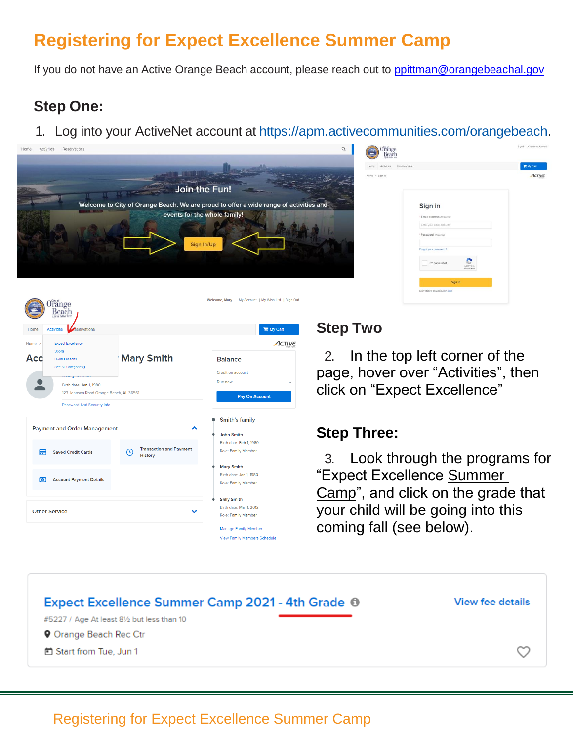# **Registering for Expect Excellence Summer Camp**

If you do not have an Active Orange Beach account, please reach out to [ppittman@orangebeachal.gov](mailto:ppittman@orangebeachal.gov)

# **Step One:**

1. Log into your ActiveNet account at https://apm.activecommunities.com/orangebeach.



| Orange<br>Beach<br>Activities<br>Reservations |                                                               | My Carl       |
|-----------------------------------------------|---------------------------------------------------------------|---------------|
| ne > Sign in                                  |                                                               | <b>ACTIVE</b> |
|                                               | Sign in                                                       |               |
|                                               | *Email address (Required)                                     |               |
|                                               | Enter your Email address                                      |               |
|                                               | *Password (Required)                                          |               |
|                                               | Forgot your password?                                         |               |
|                                               | I'm not a robot<br><b>INCAPTONA</b><br><b>Frinany - Terms</b> |               |
|                                               | Sign in                                                       |               |
|                                               | Don't have an account? Join                                   |               |



#### **Step Two**

2. In the top left corner of the page, hover over "Activities", then click on "Expect Excellence"

#### **Step Three:**

3. Look through the programs for "Expect Excellence Summer Camp", and click on the grade that your child will be going into this coming fall (see below).



#### Registering for Expect Excellence Summer Camp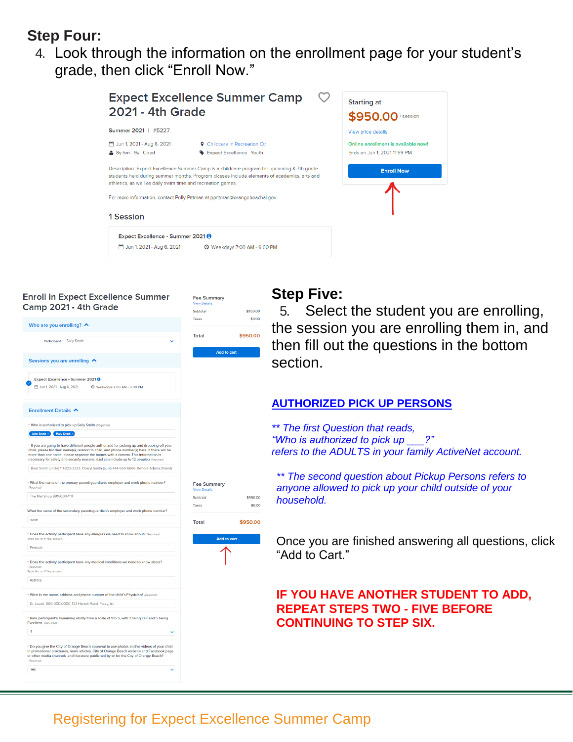#### **Step Four:**

4. Look through the information on the enrollment page for your student's grade, then click "Enroll Now."



\$950.00

**Fee Summary** 

#### **Enroll in Expect Excellence Summer** Camp 2021 - 4th Grade



#### **Step Five:**

5. Select the student you are enrolling, the session you are enrolling them in, and then fill out the questions in the bottom section.

#### **AUTHORIZED PICK UP PERSONS**

*\*\* The first Question that reads, "Who is authorized to pick up \_\_\_?" refers to the ADULTS in your family ActiveNet account.*

*\*\* The second question about Pickup Persons refers to anyone allowed to pick up your child outside of your household.*

Once you are finished answering all questions, click "Add to Cart."

#### **IF YOU HAVE ANOTHER STUDENT TO ADD, REPEAT STEPS TWO - FIVE BEFORE CONTINUING TO STEP SIX.**

### Registering for Expect Excellence Summer Camp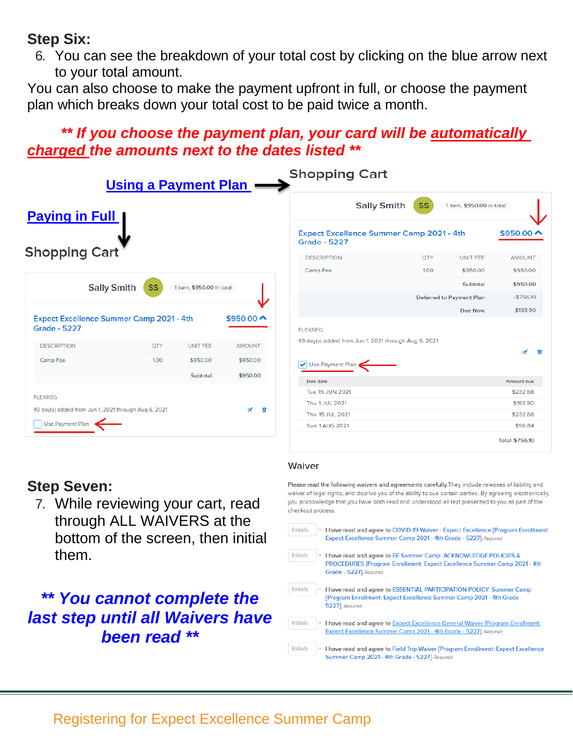### **Step Six:**

6. You can see the breakdown of your total cost by clicking on the blue arrow next to your total amount.

You can also choose to make the payment upfront in full, or choose the payment plan which breaks down your total cost to be paid twice a month.

# *\*\* If you choose the payment plan, your card will be automatically charged the amounts next to the dates listed \*\**

|                                                                          | Using a Payment Plan |                            |                                                               | <b>Shopping Cart</b>                                                   |                 |                                 |                       |
|--------------------------------------------------------------------------|----------------------|----------------------------|---------------------------------------------------------------|------------------------------------------------------------------------|-----------------|---------------------------------|-----------------------|
| <b>Paying in Full</b>                                                    |                      |                            | <b>Sally Smith</b><br><b>SS</b><br>1 item, \$950.00 in total. |                                                                        |                 |                                 |                       |
|                                                                          |                      |                            |                                                               | <b>Expect Excellence Summer Camp 2021 - 4th</b><br><b>Grade - 5227</b> |                 |                                 | $$950.00 \rightarrow$ |
| <b>Shopping Cart</b>                                                     |                      |                            | <b>DESCRIPTION</b>                                            | <b>QTY</b>                                                             | <b>UNIT FEE</b> | <b>AMOUNT</b>                   |                       |
|                                                                          |                      |                            |                                                               | Camp Fee                                                               | 1.00            | \$950.00                        | \$950.00              |
| <b>Sally Smith</b>                                                       | <b>SS</b>            | 1 item, \$950.00 in total. |                                                               |                                                                        |                 | <b>Subtotal</b>                 | \$950.00              |
|                                                                          |                      |                            |                                                               |                                                                        |                 | <b>Deferred to Payment Plan</b> | $-$756.10$            |
|                                                                          |                      |                            |                                                               |                                                                        |                 | Due Now                         | \$193.90              |
| <b>Expect Excellence Summer Camp 2021 - 4th</b><br><b>Grade - 5227</b>   |                      |                            | \$950.00 $\sim$                                               | <b>FLEXREG</b>                                                         |                 |                                 |                       |
| <b>DESCRIPTION</b>                                                       | <b>QTY</b>           | <b>UNIT FEE</b>            | <b>AMOUNT</b>                                                 | 49 day(s) added from Jun 1, 2021 through Aug 6, 2021                   |                 |                                 |                       |
| Camp Fee                                                                 | 1.00                 | \$950.00                   | \$950.00                                                      | V Use Payment Plan                                                     |                 |                                 | æ                     |
|                                                                          |                      | Subtotal                   | \$950.00                                                      | Due date                                                               |                 |                                 | Amount due            |
|                                                                          |                      |                            |                                                               | Tue 15 JUN 2021                                                        |                 |                                 | \$232.68              |
| <b>FLEXREG</b>                                                           |                      |                            |                                                               | Thu 1 JUL 2021                                                         |                 |                                 | \$193.90              |
| 49 day(s) added from Jun 1, 2021 through Aug 6, 2021<br>Use Payment Plan |                      |                            | <b>C</b><br>Ŵ                                                 | Thu 15 JUL 2021                                                        |                 |                                 | \$232.68              |
|                                                                          |                      |                            |                                                               | Sun 1 AUG 2021                                                         |                 |                                 | \$96.84               |
|                                                                          |                      |                            |                                                               |                                                                        |                 |                                 | <b>Total \$756.10</b> |

## **Step Seven:**

7. While reviewing your cart, read through ALL WAIVERS at the bottom of the screen, then initial them.

# *\*\* You cannot complete the last step until all Waivers have been read \*\**

#### Waiver

Please read the following waivers and agreements carefully. They include releases of liability and waiver of legal rights, and deprive you of the ability to sue certain parties. By agreeing electronically, you acknowledge that you have both read and understood all text presented to you as part of the checkout process

| <b>Initials</b> | I have read and agree to COVID-19 Waiver - Expect Excellence [Program Enrollment:<br>Expect Excellence Summer Camp 2021 - 4th Grade - 5227]. Required                         |
|-----------------|-------------------------------------------------------------------------------------------------------------------------------------------------------------------------------|
| <b>Initials</b> | I have read and agree to EE Summer Camp: ACKNOWLEDGE POLICIES &<br><b>PROCEDURES [Program Enrollment: Expect Excellence Summer Camp 2021 - 4th</b><br>Grade - 52271, Required |
| <b>Initials</b> | I have read and agree to ESSENTIAL PARTICIPATION POLICY: Summer Camp<br>[Program Enrollment: Expect Excellence Summer Camp 2021 - 4th Grade -<br>5227]. Required              |
| <b>Initials</b> | I have read and agree to Expect Excellence General Waiver [Program Enrollment:<br>Expect Excellence Summer Camp 2021 - 4th Grade - 5227]. Required                            |
| <b>Initials</b> | I have read and agree to Field Trip Waiver [Program Enrollment: Expect Excellence<br>Summer Camp 2021 - 4th Grade - 5227]. Required                                           |

## Registering for Expect Excellence Summer Camp